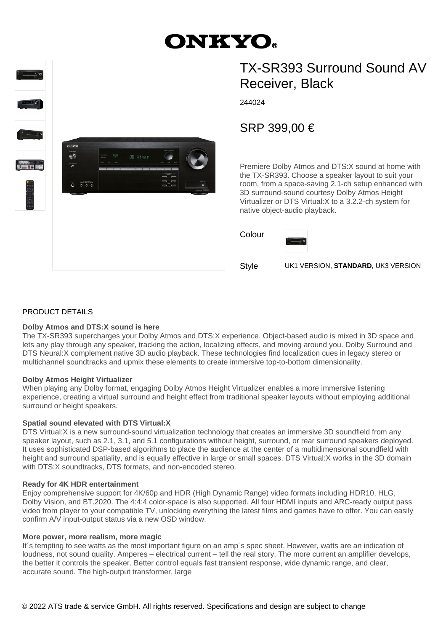# **ONKYO.**



## TX-SR393 Surround Sound AV Receiver, Black

244024

SRP 399,00 €

Premiere Dolby Atmos and DTS:X sound at home with the TX-SR393. Choose a speaker layout to suit your room, from a space-saving 2.1-ch setup enhanced with 3D surround-sound courtesy Dolby Atmos Height Virtualizer or DTS Virtual:X to a 3.2.2-ch system for native object-audio playback.

Colour



Style UK1 VERSION, **STANDARD**, UK3 VERSION

#### PRODUCT DETAILS

#### **Dolby Atmos and DTS:X sound is here**

The TX-SR393 supercharges your Dolby Atmos and DTS:X experience. Object-based audio is mixed in 3D space and lets any play through any speaker, tracking the action, localizing effects, and moving around you. Dolby Surround and DTS Neural:X complement native 3D audio playback. These technologies find localization cues in legacy stereo or multichannel soundtracks and upmix these elements to create immersive top-to-bottom dimensionality.

#### **Dolby Atmos Height Virtualizer**

When playing any Dolby format, engaging Dolby Atmos Height Virtualizer enables a more immersive listening experience, creating a virtual surround and height effect from traditional speaker layouts without employing additional surround or height speakers.

#### **Spatial sound elevated with DTS Virtual:X**

DTS Virtual:X is a new surround-sound virtualization technology that creates an immersive 3D soundfield from any speaker layout, such as 2.1, 3.1, and 5.1 configurations without height, surround, or rear surround speakers deployed. It uses sophisticated DSP-based algorithms to place the audience at the center of a multidimensional soundfield with height and surround spatiality, and is equally effective in large or small spaces. DTS Virtual:X works in the 3D domain with DTS:X soundtracks, DTS formats, and non-encoded stereo.

#### **Ready for 4K HDR entertainment**

Enjoy comprehensive support for 4K/60p and HDR (High Dynamic Range) video formats including HDR10, HLG, Dolby Vision, and BT.2020. The 4:4:4 color-space is also supported. All four HDMI inputs and ARC-ready output pass video from player to your compatible TV, unlocking everything the latest films and games have to offer. You can easily confirm A/V input-output status via a new OSD window.

#### **More power, more realism, more magic**

It´s tempting to see watts as the most important figure on an amp´s spec sheet. However, watts are an indication of loudness, not sound quality. Amperes – electrical current – tell the real story. The more current an amplifier develops, the better it controls the speaker. Better control equals fast transient response, wide dynamic range, and clear, accurate sound. The high-output transformer, large